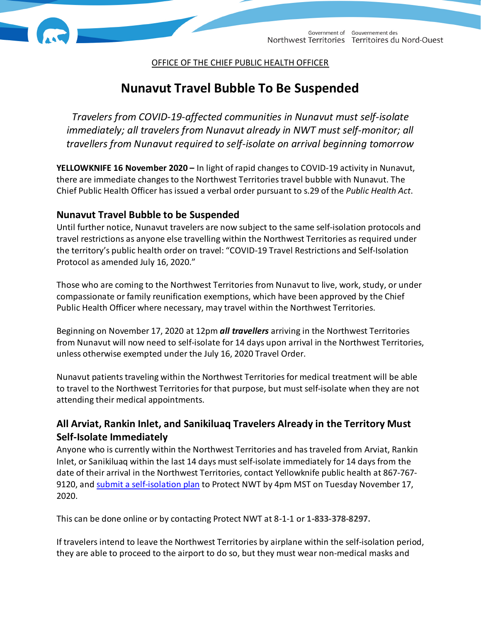OFFICE OF THE CHIEF PUBLIC HEALTH OFFICER

# **Nunavut Travel Bubble To Be Suspended**

*Travelers from COVID-19-affected communities in Nunavut must self-isolate immediately; all travelers from Nunavut already in NWT must self-monitor; all travellers from Nunavut required to self-isolate on arrival beginning tomorrow*

**YELLOWKNIFE 16 November 2020 –** In light of rapid changes to COVID-19 activity in Nunavut, there are immediate changes to the Northwest Territories travel bubble with Nunavut. The Chief Public Health Officer has issued a verbal order pursuant to s.29 of the *Public Health Act*.

## **Nunavut Travel Bubble to be Suspended**

Until further notice, Nunavut travelers are now subject to the same self-isolation protocols and travel restrictions as anyone else travelling within the Northwest Territories as required under the territory's public health order on travel: "COVID-19 Travel Restrictions and Self-Isolation Protocol as amended July 16, 2020."

Those who are coming to the Northwest Territories from Nunavut to live, work, study, or under compassionate or family reunification exemptions, which have been approved by the Chief Public Health Officer where necessary, may travel within the Northwest Territories.

Beginning on November 17, 2020 at 12pm *all travellers* arriving in the Northwest Territories from Nunavut will now need to self-isolate for 14 days upon arrival in the Northwest Territories, unless otherwise exempted under the July 16, 2020 Travel Order.

Nunavut patients traveling within the Northwest Territoriesfor medical treatment will be able to travel to the Northwest Territories for that purpose, but must self-isolate when they are not attending their medical appointments.

# **All Arviat, Rankin Inlet, and Sanikiluaq Travelers Already in the Territory Must Self-Isolate Immediately**

Anyone who is currently within the Northwest Territories and has traveled from Arviat, Rankin Inlet, or Sanikiluaq within the last 14 days must self-isolate immediately for 14 daysfrom the date of their arrival in the Northwest Territories, contact Yellowknife public health at 867-767 9120, and [submit a self-isolation plan](https://www.gov.nt.ca/covid-19/en/services/health-and-well-being/self-isolation-plan) to Protect NWT by 4pm MST on Tuesday November 17, 2020.

This can be done online or by contacting Protect NWT at 8-1-1 or **1-833-378-8297.**

If travelers intend to leave the Northwest Territories by airplane within the self-isolation period, they are able to proceed to the airport to do so, but they must wear non-medical masks and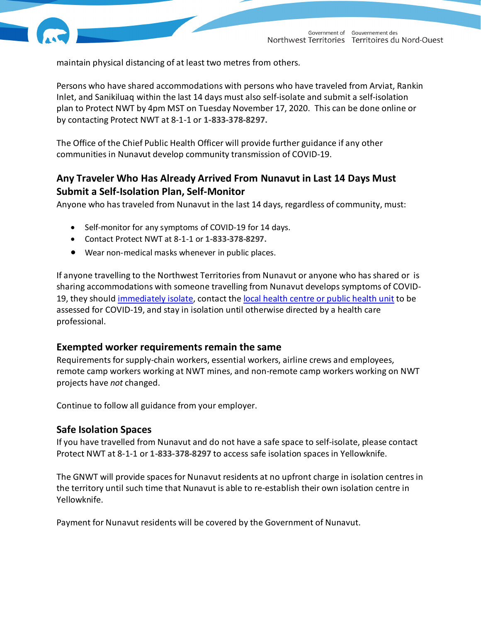

maintain physical distancing of at least two metres from others.

Persons who have shared accommodations with persons who have traveled from Arviat, Rankin Inlet, and Sanikiluaq within the last 14 days must also self-isolate and submit a self-isolation plan to Protect NWT by 4pm MST on Tuesday November 17, 2020. This can be done online or by contacting Protect NWT at 8-1-1 or **1-833-378-8297.**

The Office of the Chief Public Health Officer will provide further guidance if any other communities in Nunavut develop community transmission of COVID-19.

# **Any Traveler Who Has Already Arrived From Nunavut in Last 14 Days Must Submit a Self-Isolation Plan, Self-Monitor**

Anyone who has traveled from Nunavut in the last 14 days, regardless of community, must:

- Self-monitor for any symptoms of COVID-19 for 14 days.
- Contact Protect NWT at 8-1-1 or **1-833-378-8297.**
- Wear non-medical masks whenever in public places.

If anyone travelling to the Northwest Territories from Nunavut or anyone who has shared or is sharing accommodations with someone travelling from Nunavut develops symptoms of COVID-19, they shoul[d immediately isolate,](https://www.gov.nt.ca/covid-19/en/services/health-and-well-being/isolation) contact th[e local health centre or public health unit](https://www.hss.gov.nt.ca/en/hospitals-and-health-centres) to be assessed for COVID-19, and stay in isolation until otherwise directed by a health care professional.

#### **Exempted worker requirements remain the same**

Requirements for supply-chain workers, essential workers, airline crews and employees, remote camp workers working at NWT mines, and non-remote camp workers working on NWT projects have *not* changed.

Continue to follow all guidance from your employer.

#### **Safe Isolation Spaces**

If you have travelled from Nunavut and do not have a safe space to self-isolate, please contact Protect NWT at 8-1-1 or **1-833-378-8297** to access safe isolation spaces in Yellowknife.

The GNWT will provide spaces for Nunavut residents at no upfront charge in isolation centres in the territory until such time that Nunavut is able to re-establish their own isolation centre in Yellowknife.

Payment for Nunavut residents will be covered by the Government of Nunavut.